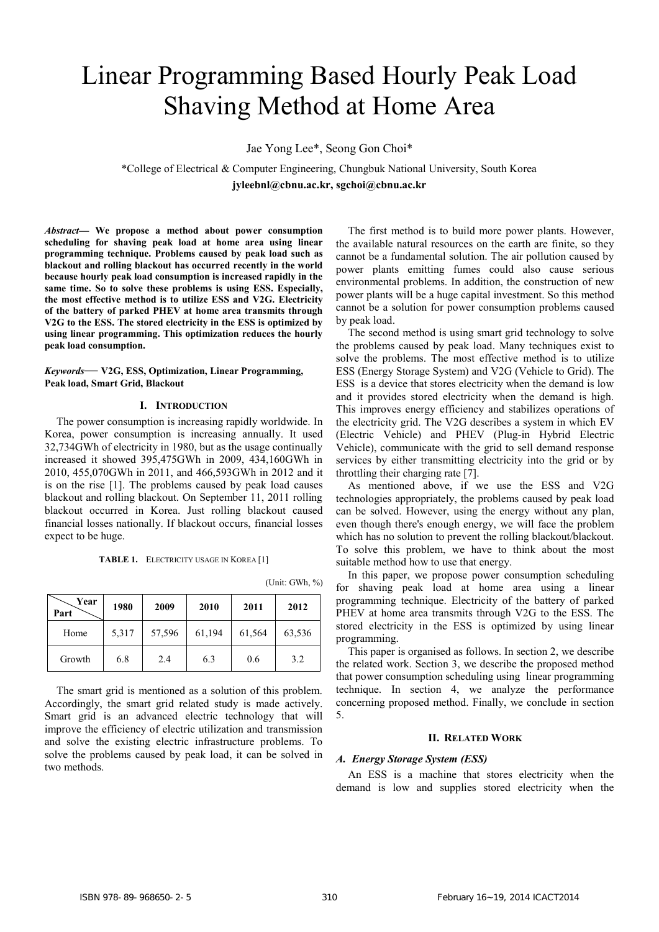# Linear Programming Based Hourly Peak Load Shaving Method at Home Area

Jae Yong Lee\*, Seong Gon Choi\*

\*College of Electrical & Computer Engineering, Chungbuk National University, South Korea **jyleebnl@cbnu.ac.kr, sgchoi@cbnu.ac.kr** 

*Abstract***— We propose a method about power consumption scheduling for shaving peak load at home area using linear programming technique. Problems caused by peak load such as blackout and rolling blackout has occurred recently in the world because hourly peak load consumption is increased rapidly in the same time. So to solve these problems is using ESS. Especially, the most effective method is to utilize ESS and V2G. Electricity of the battery of parked PHEV at home area transmits through V2G to the ESS. The stored electricity in the ESS is optimized by using linear programming. This optimization reduces the hourly peak load consumption.** 

*Keywords*— **V2G, ESS, Optimization, Linear Programming, Peak load, Smart Grid, Blackout**

#### **I. INTRODUCTION**

The power consumption is increasing rapidly worldwide. In Korea, power consumption is increasing annually. It used 32,734GWh of electricity in 1980, but as the usage continually increased it showed 395,475GWh in 2009, 434,160GWh in 2010, 455,070GWh in 2011, and 466,593GWh in 2012 and it is on the rise [1]. The problems caused by peak load causes blackout and rolling blackout. On September 11, 2011 rolling blackout occurred in Korea. Just rolling blackout caused financial losses nationally. If blackout occurs, financial losses expect to be huge.

**TABLE 1.** ELECTRICITY USAGE IN KOREA [1]

| Year<br>Part | 1980  | 2009   | 2010   | 2011   | 2012   |
|--------------|-------|--------|--------|--------|--------|
| Home         | 5,317 | 57,596 | 61,194 | 61,564 | 63,536 |
| Growth       | 6.8   | 2.4    | 6.3    | 0.6    | 3.2    |

(Unit: GWh, %)

The smart grid is mentioned as a solution of this problem. Accordingly, the smart grid related study is made actively. Smart grid is an advanced electric technology that will improve the efficiency of electric utilization and transmission and solve the existing electric infrastructure problems. To solve the problems caused by peak load, it can be solved in two methods.

The first method is to build more power plants. However, the available natural resources on the earth are finite, so they cannot be a fundamental solution. The air pollution caused by power plants emitting fumes could also cause serious environmental problems. In addition, the construction of new power plants will be a huge capital investment. So this method cannot be a solution for power consumption problems caused by peak load.

The second method is using smart grid technology to solve the problems caused by peak load. Many techniques exist to solve the problems. The most effective method is to utilize ESS (Energy Storage System) and V2G (Vehicle to Grid). The ESS is a device that stores electricity when the demand is low and it provides stored electricity when the demand is high. This improves energy efficiency and stabilizes operations of the electricity grid. The V2G describes a system in which EV (Electric Vehicle) and PHEV (Plug-in Hybrid Electric Vehicle), communicate with the grid to sell demand response services by either transmitting electricity into the grid or by throttling their charging rate [7].

As mentioned above, if we use the ESS and V2G technologies appropriately, the problems caused by peak load can be solved. However, using the energy without any plan, even though there's enough energy, we will face the problem which has no solution to prevent the rolling blackout/blackout. To solve this problem, we have to think about the most suitable method how to use that energy.

In this paper, we propose power consumption scheduling for shaving peak load at home area using a linear programming technique. Electricity of the battery of parked PHEV at home area transmits through V2G to the ESS. The stored electricity in the ESS is optimized by using linear programming.

This paper is organised as follows. In section 2, we describe the related work. Section 3, we describe the proposed method that power consumption scheduling using linear programming technique. In section 4, we analyze the performance concerning proposed method. Finally, we conclude in section 5.

#### **II. RELATED WORK**

#### *A. Energy Storage System (ESS)*

An ESS is a machine that stores electricity when the demand is low and supplies stored electricity when the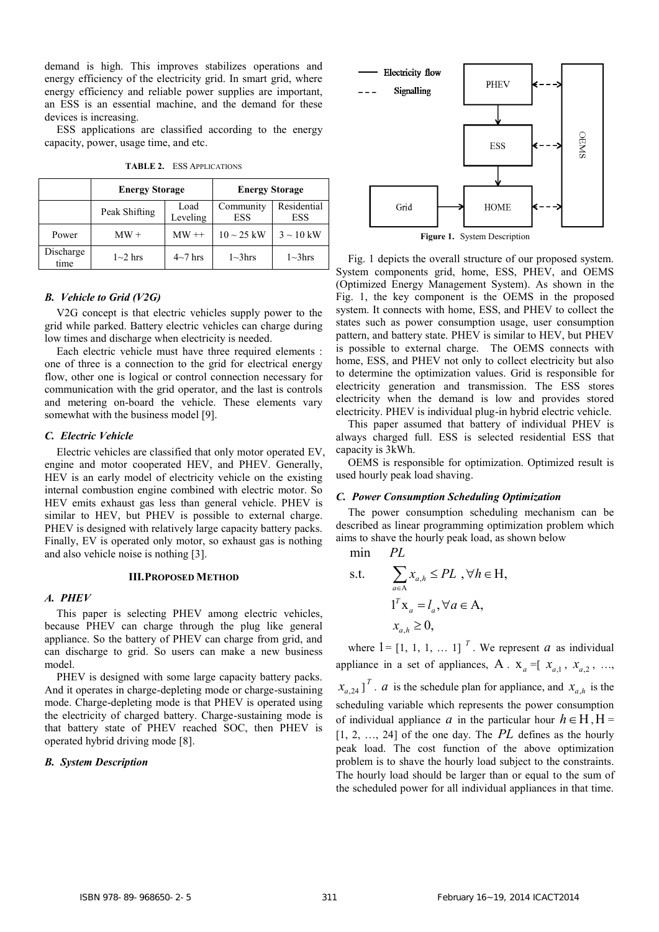demand is high. This improves stabilizes operations and energy efficiency of the electricity grid. In smart grid, where energy efficiency and reliable power supplies are important, an ESS is an essential machine, and the demand for these devices is increasing.

ESS applications are classified according to the energy capacity, power, usage time, and etc.

|                   | <b>Energy Storage</b> |                  | <b>Energy Storage</b>   |                           |  |  |
|-------------------|-----------------------|------------------|-------------------------|---------------------------|--|--|
|                   | Peak Shifting         | Load<br>Leveling | Community<br><b>ESS</b> | Residential<br><b>ESS</b> |  |  |
| Power             | $MW+$                 | $MW++$           | $10 \sim 25 \text{ kW}$ | $3 \sim 10 \text{ kW}$    |  |  |
| Discharge<br>time | $1\sim2$ hrs          | $4\sim$ 7 hrs    | $1 \sim 3$ hrs          | $1\sim3$ hrs              |  |  |

**TABLE 2.** ESS APPLICATIONS

## *B. Vehicle to Grid (V2G)*

V2G concept is that electric vehicles supply power to the grid while parked. Battery electric vehicles can charge during low times and discharge when electricity is needed.

Each electric vehicle must have three required elements : one of three is a connection to the grid for electrical energy flow, other one is logical or control connection necessary for communication with the grid operator, and the last is controls and metering on-board the vehicle. These elements vary somewhat with the business model [9].

## *C. Electric Vehicle*

Electric vehicles are classified that only motor operated EV, engine and motor cooperated HEV, and PHEV. Generally, HEV is an early model of electricity vehicle on the existing internal combustion engine combined with electric motor. So HEV emits exhaust gas less than general vehicle. PHEV is similar to HEV, but PHEV is possible to external charge. PHEV is designed with relatively large capacity battery packs. Finally, EV is operated only motor, so exhaust gas is nothing and also vehicle noise is nothing [3].

#### **III.PROPOSED METHOD**

## *A. PHEV*

This paper is selecting PHEV among electric vehicles, because PHEV can charge through the plug like general appliance. So the battery of PHEV can charge from grid, and can discharge to grid. So users can make a new business model.

PHEV is designed with some large capacity battery packs. And it operates in charge-depleting mode or charge-sustaining mode. Charge-depleting mode is that PHEV is operated using the electricity of charged battery. Charge-sustaining mode is that battery state of PHEV reached SOC, then PHEV is operated hybrid driving mode [8].

## *B. System Description*



**Figure 1.** System Description

Fig. 1 depicts the overall structure of our proposed system. System components grid, home, ESS, PHEV, and OEMS (Optimized Energy Management System). As shown in the Fig. 1, the key component is the OEMS in the proposed system. It connects with home, ESS, and PHEV to collect the states such as power consumption usage, user consumption pattern, and battery state. PHEV is similar to HEV, but PHEV is possible to external charge. The OEMS connects with home, ESS, and PHEV not only to collect electricity but also to determine the optimization values. Grid is responsible for electricity generation and transmission. The ESS stores electricity when the demand is low and provides stored electricity. PHEV is individual plug-in hybrid electric vehicle.

This paper assumed that battery of individual PHEV is always charged full. ESS is selected residential ESS that capacity is 3kWh.

OEMS is responsible for optimization. Optimized result is used hourly peak load shaving.

## *C. Power Consumption Scheduling Optimization*

The power consumption scheduling mechanism can be described as linear programming optimization problem which aims to shave the hourly peak load, as shown below

min *PL*

s.t. 
$$
\sum_{a \in A} x_{a,h} \le PL, \forall h \in H,
$$

$$
1^{T} x_{a} = l_{a}, \forall a \in A,
$$

$$
x_{a,h} \ge 0,
$$

where  $1 = \begin{bmatrix} 1, 1, 1, \dots, 1 \end{bmatrix}^T$ . We represent *a* as individual appliance in a set of appliances, A .  $X_a = [x_{a,1}, x_{a,2}, \ldots, x_{a,2}]$  $x_{a,24}$   $\int$ <sup>*T*</sup>. *a* is the schedule plan for appliance, and  $x_{a,h}$  is the scheduling variable which represents the power consumption of individual appliance *a* in the particular hour  $h \in H$ ,  $H =$ [1, 2, …, 24] of the one day. The *PL* defines as the hourly peak load. The cost function of the above optimization problem is to shave the hourly load subject to the constraints. The hourly load should be larger than or equal to the sum of the scheduled power for all individual appliances in that time.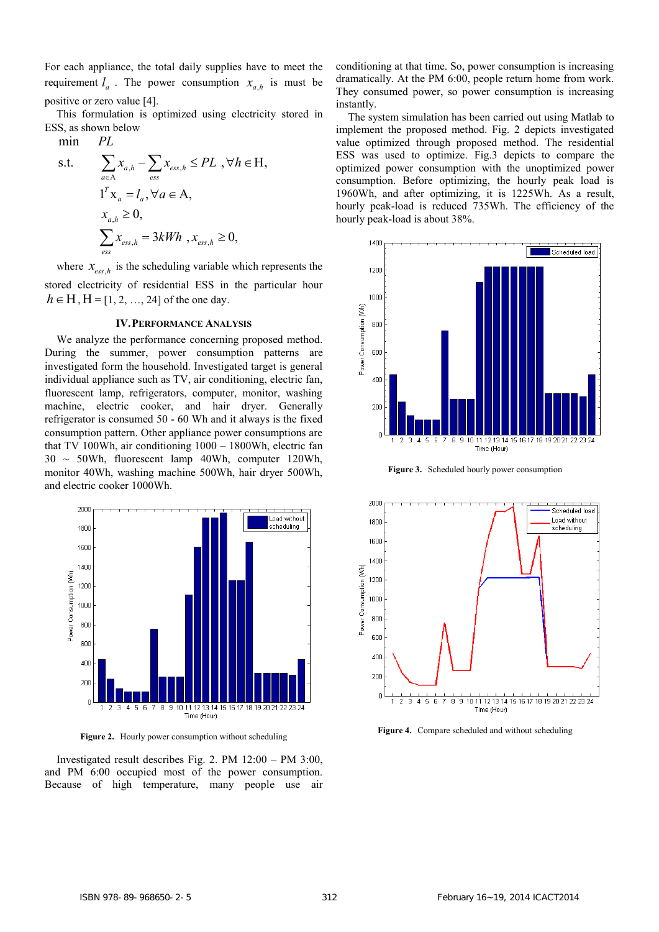For each appliance, the total daily supplies have to meet the requirement  $l_a$ . The power consumption  $x_{a,h}$  is must be positive or zero value [4].

This formulation is optimized using electricity stored in ESS, as shown below<br>min  $PL$ 

*PL*

s, as shown below  
\nmin *PL*  
\ns.t. 
$$
\sum_{a \in A} x_{a,h} - \sum_{ess} x_{ess,h} \le PL , \forall h \in H,
$$
\n
$$
1^{T} x_{a} = l_{a}, \forall a \in A,
$$
\n
$$
x_{a,h} \ge 0,
$$
\n
$$
\sum_{ess} x_{ess,h} = 3kWh , x_{ess,h} \ge 0,
$$

where  $x_{\text{ess},h}$  is the scheduling variable which represents the stored electricity of residential ESS in the particular hour  $h \in H$ ,  $H = [1, 2, ..., 24]$  of the one day.

## **IV.PERFORMANCE ANALYSIS**

We analyze the performance concerning proposed method. During the summer, power consumption patterns are investigated form the household. Investigated target is general individual appliance such as TV, air conditioning, electric fan, fluorescent lamp, refrigerators, computer, monitor, washing machine, electric cooker, and hair dryer. Generally refrigerator is consumed 50 - 60 Wh and it always is the fixed consumption pattern. Other appliance power consumptions are that TV 100Wh, air conditioning 1000 – 1800Wh, electric fan 30 ~ 50Wh, fluorescent lamp 40Wh, computer 120Wh, monitor 40Wh, washing machine 500Wh, hair dryer 500Wh, and electric cooker 1000Wh.



**Figure 2.** Hourly power consumption without scheduling

Investigated result describes Fig. 2. PM 12:00 – PM 3:00, and PM 6:00 occupied most of the power consumption. Because of high temperature, many people use air

conditioning at that time. So, power consumption is increasing dramatically. At the PM 6:00, people return home from work. They consumed power, so power consumption is increasing instantly.

The system simulation has been carried out using Matlab to implement the proposed method. Fig. 2 depicts investigated value optimized through proposed method. The residential ESS was used to optimize. Fig.3 depicts to compare the optimized power consumption with the unoptimized power consumption. Before optimizing, the hourly peak load is 1960Wh, and after optimizing, it is 1225Wh. As a result, hourly peak-load is reduced 735Wh. The efficiency of the hourly peak-load is about 38%.



**Figure 3.** Scheduled hourly power consumption



**Figure 4.** Compare scheduled and without scheduling